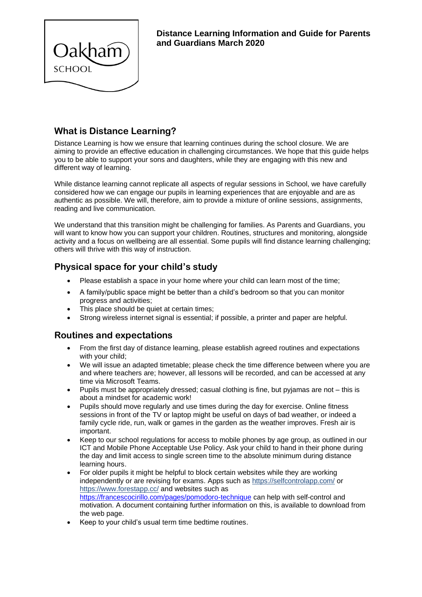

# **What is Distance Learning?**

Distance Learning is how we ensure that learning continues during the school closure. We are aiming to provide an effective education in challenging circumstances. We hope that this guide helps you to be able to support your sons and daughters, while they are engaging with this new and different way of learning.

While distance learning cannot replicate all aspects of regular sessions in School, we have carefully considered how we can engage our pupils in learning experiences that are enjoyable and are as authentic as possible. We will, therefore, aim to provide a mixture of online sessions, assignments, reading and live communication.

We understand that this transition might be challenging for families. As Parents and Guardians, you will want to know how you can support your children. Routines, structures and monitoring, alongside activity and a focus on wellbeing are all essential. Some pupils will find distance learning challenging; others will thrive with this way of instruction.

## **Physical space for your child's study**

- Please establish a space in your home where your child can learn most of the time;
- A family/public space might be better than a child's bedroom so that you can monitor progress and activities;
- This place should be quiet at certain times;
- Strong wireless internet signal is essential; if possible, a printer and paper are helpful.

#### **Routines and expectations**

- From the first day of distance learning, please establish agreed routines and expectations with your child;
- We will issue an adapted timetable; please check the time difference between where you are and where teachers are; however, all lessons will be recorded, and can be accessed at any time via Microsoft Teams.
- Pupils must be appropriately dressed; casual clothing is fine, but pyjamas are not this is about a mindset for academic work!
- Pupils should move regularly and use times during the day for exercise. Online fitness sessions in front of the TV or laptop might be useful on days of bad weather, or indeed a family cycle ride, run, walk or games in the garden as the weather improves. Fresh air is important.
- Keep to our school regulations for access to mobile phones by age group, as outlined in our ICT and Mobile Phone Acceptable Use Policy. Ask your child to hand in their phone during the day and limit access to single screen time to the absolute minimum during distance learning hours.
- For older pupils it might be helpful to block certain websites while they are working independently or are revising for exams. Apps such as<https://selfcontrolapp.com/> or <https://www.forestapp.cc/> and websites such as <https://francescocirillo.com/pages/pomodoro-technique> can help with self-control and motivation. A document containing further information on this, is available to download from the web page.
- Keep to your child's usual term time bedtime routines.